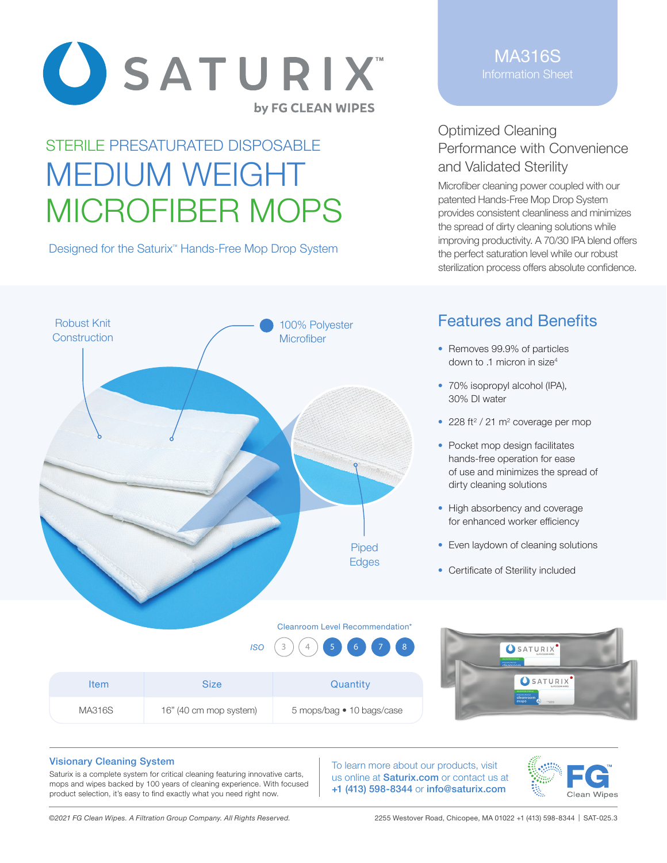

# STERILE PRESATURATED DISPOSABLE MEDIUM WEIGHT MICROFIBER MOPS

Designed for the Saturix<sup>™</sup> Hands-Free Mop Drop System

MA316S Information Sheet

## Optimized Cleaning Performance with Convenience and Validated Sterility

Microfiber cleaning power coupled with our patented Hands-Free Mop Drop System provides consistent cleanliness and minimizes the spread of dirty cleaning solutions while improving productivity. A 70/30 IPA blend offers the perfect saturation level while our robust sterilization process offers absolute confidence.



Item Size Size Quantity

# Features and Benefits

- Removes 99.9% of particles down to .1 micron in size<sup>4</sup>
- 70% isopropyl alcohol (IPA). 30% DI water
- $\cdot$  228 ft<sup>2</sup> / 21 m<sup>2</sup> coverage per mop
- Pocket mop design facilitates hands-free operation for ease of use and minimizes the spread of dirty cleaning solutions
- High absorbency and coverage for enhanced worker efficiency
- Even laydown of cleaning solutions
- Certificate of Sterility included

#### Cleanroom Level Recommendation\*

5 mops/bag • 10 bags/case





#### Visionary Cleaning System

Saturix is a complete system for critical cleaning featuring innovative carts, mops and wipes backed by 100 years of cleaning experience. With focused product selection, it's easy to find exactly what you need right now.

To learn more about our products, visit us online at **Saturix.com** or contact us at +1 (413) 598-8344 or info@saturix.com



*©2021 FG Clean Wipes. A Filtration Group Company. All Rights Reserved.* 2255 Westover Road, Chicopee, MA 01022 +1 (413) 598-8344 | SAT-025.3

MA316S 16" (40 cm mop system)